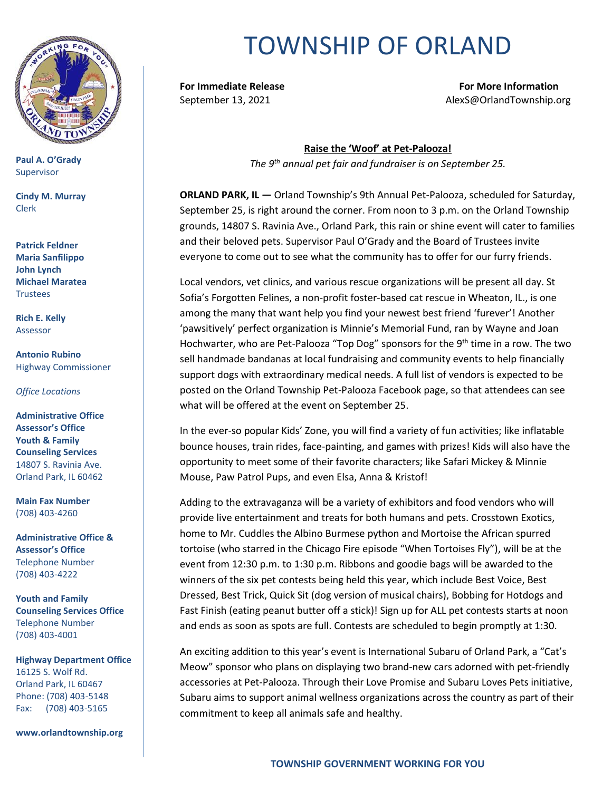

**Paul A. O'Grady** Supervisor

**Cindy M. Murray** Clerk

**Patrick Feldner Maria Sanfilippo John Lynch Michael Maratea Trustees** 

**Rich E. Kelly** Assessor

**Antonio Rubino** Highway Commissioner

*Office Locations*

**Administrative Office Assessor's Office Youth & Family Counseling Services** 14807 S. Ravinia Ave. Orland Park, IL 60462

**Main Fax Number**  (708) 403-4260

**Administrative Office & Assessor's Office**  Telephone Number (708) 403-4222

**Youth and Family Counseling Services Office**  Telephone Number (708) 403-4001

**Highway Department Office** 16125 S. Wolf Rd. Orland Park, IL 60467 Phone: (708) 403-5148 Fax: (708) 403-5165

**www.orlandtownship.org**

## TOWNSHIP OF ORLAND

**For Immediate Release For More Information** September 13, 2021 **Alexs** @OrlandTownship.org

> **Raise the 'Woof' at Pet-Palooza!** *The 9th annual pet fair and fundraiser is on September 25.*

**ORLAND PARK, IL —** Orland Township's 9th Annual Pet-Palooza, scheduled for Saturday, September 25, is right around the corner. From noon to 3 p.m. on the Orland Township grounds, 14807 S. Ravinia Ave., Orland Park, this rain or shine event will cater to families and their beloved pets. Supervisor Paul O'Grady and the Board of Trustees invite everyone to come out to see what the community has to offer for our furry friends.

Local vendors, vet clinics, and various rescue organizations will be present all day. St Sofia's Forgotten Felines, a non-profit foster-based cat rescue in Wheaton, IL., is one among the many that want help you find your newest best friend 'furever'! Another 'pawsitively' perfect organization is Minnie's Memorial Fund, ran by Wayne and Joan Hochwarter, who are Pet-Palooza "Top Dog" sponsors for the 9<sup>th</sup> time in a row. The two sell handmade bandanas at local fundraising and community events to help financially support dogs with extraordinary medical needs. A full list of vendors is expected to be posted on the Orland Township Pet-Palooza Facebook page, so that attendees can see what will be offered at the event on September 25.

In the ever-so popular Kids' Zone, you will find a variety of fun activities; like inflatable bounce houses, train rides, face-painting, and games with prizes! Kids will also have the opportunity to meet some of their favorite characters; like Safari Mickey & Minnie Mouse, Paw Patrol Pups, and even Elsa, Anna & Kristof!

Adding to the extravaganza will be a variety of exhibitors and food vendors who will provide live entertainment and treats for both humans and pets. Crosstown Exotics, home to Mr. Cuddles the Albino Burmese python and Mortoise the African spurred tortoise (who starred in the Chicago Fire episode "When Tortoises Fly"), will be at the event from 12:30 p.m. to 1:30 p.m. Ribbons and goodie bags will be awarded to the winners of the six pet contests being held this year, which include Best Voice, Best Dressed, Best Trick, Quick Sit (dog version of musical chairs), Bobbing for Hotdogs and Fast Finish (eating peanut butter off a stick)! Sign up for ALL pet contests starts at noon and ends as soon as spots are full. Contests are scheduled to begin promptly at 1:30.

An exciting addition to this year's event is International Subaru of Orland Park, a "Cat's Meow" sponsor who plans on displaying two brand-new cars adorned with pet-friendly accessories at Pet-Palooza. Through their Love Promise and Subaru Loves Pets initiative, Subaru aims to support animal wellness organizations across the country as part of their commitment to keep all animals safe and healthy.